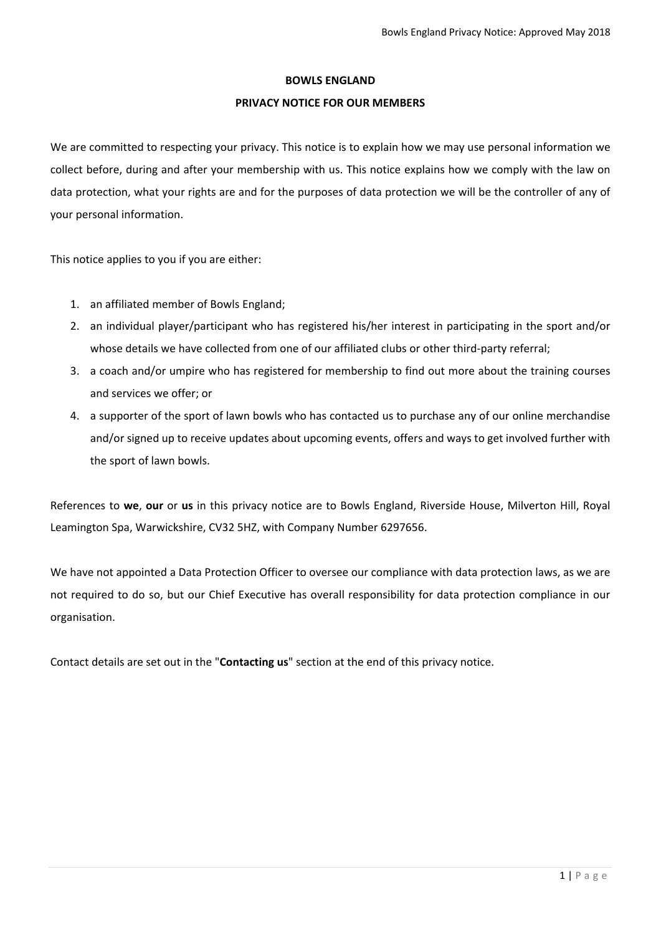## **BOWLS ENGLAND**

## **PRIVACY NOTICE FOR OUR MEMBERS**

We are committed to respecting your privacy. This notice is to explain how we may use personal information we collect before, during and after your membership with us. This notice explains how we comply with the law on data protection, what your rights are and for the purposes of data protection we will be the controller of any of your personal information.

This notice applies to you if you are either:

- 1. an affiliated member of Bowls England;
- 2. an individual player/participant who has registered his/her interest in participating in the sport and/or whose details we have collected from one of our affiliated clubs or other third-party referral;
- 3. a coach and/or umpire who has registered for membership to find out more about the training courses and services we offer; or
- 4. a supporter of the sport of lawn bowls who has contacted us to purchase any of our online merchandise and/or signed up to receive updates about upcoming events, offers and ways to get involved further with the sport of lawn bowls.

References to **we**, **our** or **us** in this privacy notice are to Bowls England, Riverside House, Milverton Hill, Royal Leamington Spa, Warwickshire, CV32 5HZ, with Company Number 6297656.

We have not appointed a Data Protection Officer to oversee our compliance with data protection laws, as we are not required to do so, but our Chief Executive has overall responsibility for data protection compliance in our organisation.

Contact details are set out in the "**Contacting us**" section at the end of this privacy notice.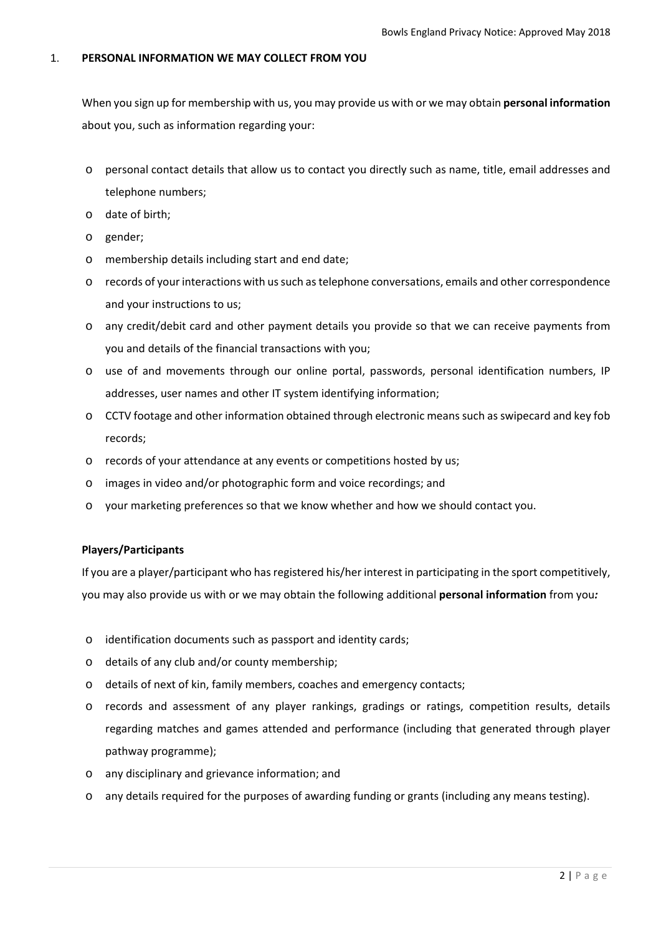# 1. **PERSONAL INFORMATION WE MAY COLLECT FROM YOU**

When you sign up for membership with us, you may provide us with or we may obtain **personal information** about you, such as information regarding your:

- o personal contact details that allow us to contact you directly such as name, title, email addresses and telephone numbers;
- o date of birth;
- o gender;
- o membership details including start and end date;
- o records of your interactions with ussuch astelephone conversations, emails and other correspondence and your instructions to us;
- o any credit/debit card and other payment details you provide so that we can receive payments from you and details of the financial transactions with you;
- o use of and movements through our online portal, passwords, personal identification numbers, IP addresses, user names and other IT system identifying information;
- o CCTV footage and other information obtained through electronic meanssuch asswipecard and key fob records;
- o records of your attendance at any events or competitions hosted by us;
- o images in video and/or photographic form and voice recordings; and
- o your marketing preferences so that we know whether and how we should contact you.

# **Players/Participants**

If you are a player/participant who has registered his/her interest in participating in the sport competitively, you may also provide us with or we may obtain the following additional **personal information** from you*:*

- o identification documents such as passport and identity cards;
- o details of any club and/or county membership;
- o details of next of kin, family members, coaches and emergency contacts;
- o records and assessment of any player rankings, gradings or ratings, competition results, details regarding matches and games attended and performance (including that generated through player pathway programme);
- o any disciplinary and grievance information; and
- o any details required for the purposes of awarding funding or grants (including any means testing).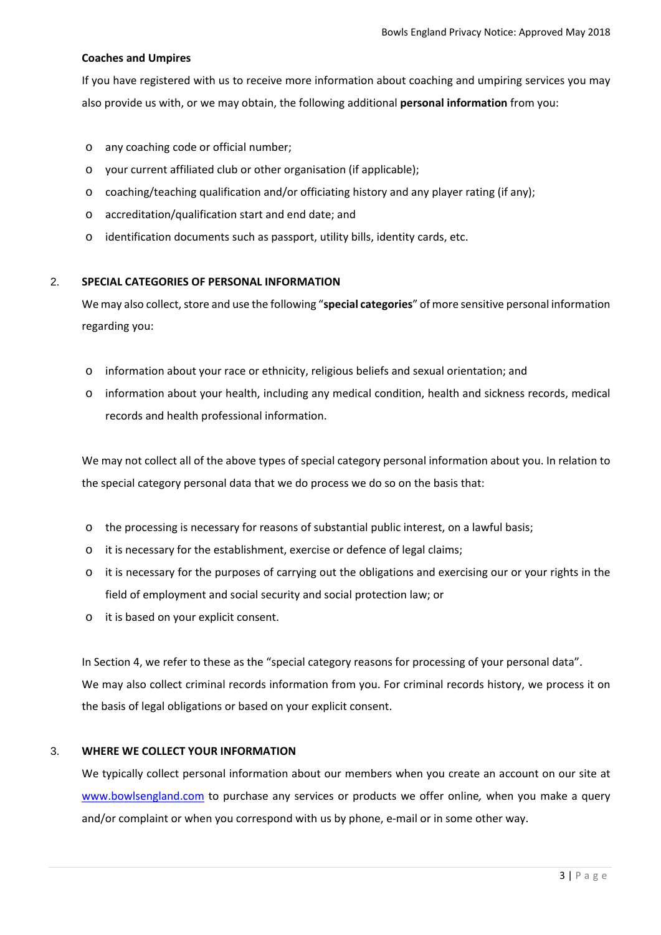# **Coaches and Umpires**

If you have registered with us to receive more information about coaching and umpiring services you may also provide us with, or we may obtain, the following additional **personal information** from you:

- o any coaching code or official number;
- o your current affiliated club or other organisation (if applicable);
- $\circ$  coaching/teaching qualification and/or officiating history and any player rating (if any);
- o accreditation/qualification start and end date; and
- o identification documents such as passport, utility bills, identity cards, etc.

# 2. **SPECIAL CATEGORIES OF PERSONAL INFORMATION**

We may also collect, store and use the following "special categories" of more sensitive personal information regarding you:

- o information about your race or ethnicity, religious beliefs and sexual orientation; and
- o information about your health, including any medical condition, health and sickness records, medical records and health professional information.

We may not collect all of the above types of special category personal information about you. In relation to the special category personal data that we do process we do so on the basis that:

- o the processing is necessary for reasons of substantial public interest, on a lawful basis;
- o it is necessary for the establishment, exercise or defence of legal claims;
- o it is necessary for the purposes of carrying out the obligations and exercising our or your rights in the field of employment and social security and social protection law; or
- o it is based on your explicit consent.

In Section 4, we refer to these as the "special category reasons for processing of your personal data". We may also collect criminal records information from you. For criminal records history, we process it on the basis of legal obligations or based on your explicit consent.

# 3. **WHERE WE COLLECT YOUR INFORMATION**

We typically collect personal information about our members when you create an account on our site at www.bowlsengland.com to purchase any services or products we offer online*,* when you make a query and/or complaint or when you correspond with us by phone, e-mail or in some other way.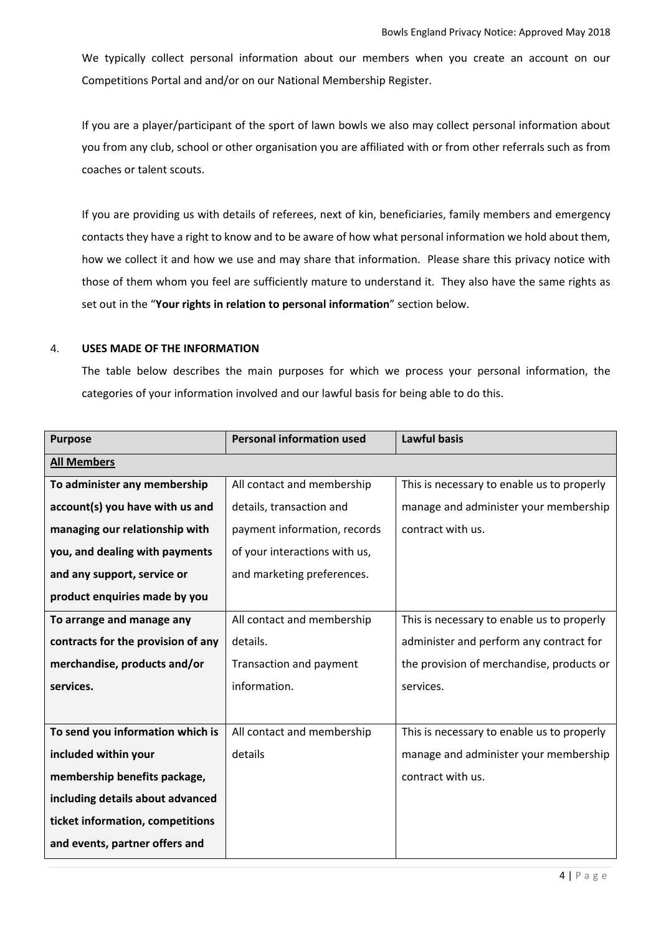We typically collect personal information about our members when you create an account on our Competitions Portal and and/or on our National Membership Register.

If you are a player/participant of the sport of lawn bowls we also may collect personal information about you from any club, school or other organisation you are affiliated with or from other referrals such as from coaches or talent scouts.

If you are providing us with details of referees, next of kin, beneficiaries, family members and emergency contacts they have a right to know and to be aware of how what personal information we hold about them, how we collect it and how we use and may share that information. Please share this privacy notice with those of them whom you feel are sufficiently mature to understand it. They also have the same rights as set out in the "**Your rights in relation to personal information**" section below.

## 4. **USES MADE OF THE INFORMATION**

The table below describes the main purposes for which we process your personal information, the categories of your information involved and our lawful basis for being able to do this.

| <b>Purpose</b>                     | <b>Personal information used</b> | <b>Lawful basis</b>                        |
|------------------------------------|----------------------------------|--------------------------------------------|
| <b>All Members</b>                 |                                  |                                            |
| To administer any membership       | All contact and membership       | This is necessary to enable us to properly |
| account(s) you have with us and    | details, transaction and         | manage and administer your membership      |
| managing our relationship with     | payment information, records     | contract with us.                          |
| you, and dealing with payments     | of your interactions with us,    |                                            |
| and any support, service or        | and marketing preferences.       |                                            |
| product enquiries made by you      |                                  |                                            |
| To arrange and manage any          | All contact and membership       | This is necessary to enable us to properly |
| contracts for the provision of any | details.                         | administer and perform any contract for    |
| merchandise, products and/or       | Transaction and payment          | the provision of merchandise, products or  |
| services.                          | information.                     | services.                                  |
|                                    |                                  |                                            |
| To send you information which is   | All contact and membership       | This is necessary to enable us to properly |
| included within your               | details                          | manage and administer your membership      |
| membership benefits package,       |                                  | contract with us.                          |
| including details about advanced   |                                  |                                            |
| ticket information, competitions   |                                  |                                            |
| and events, partner offers and     |                                  |                                            |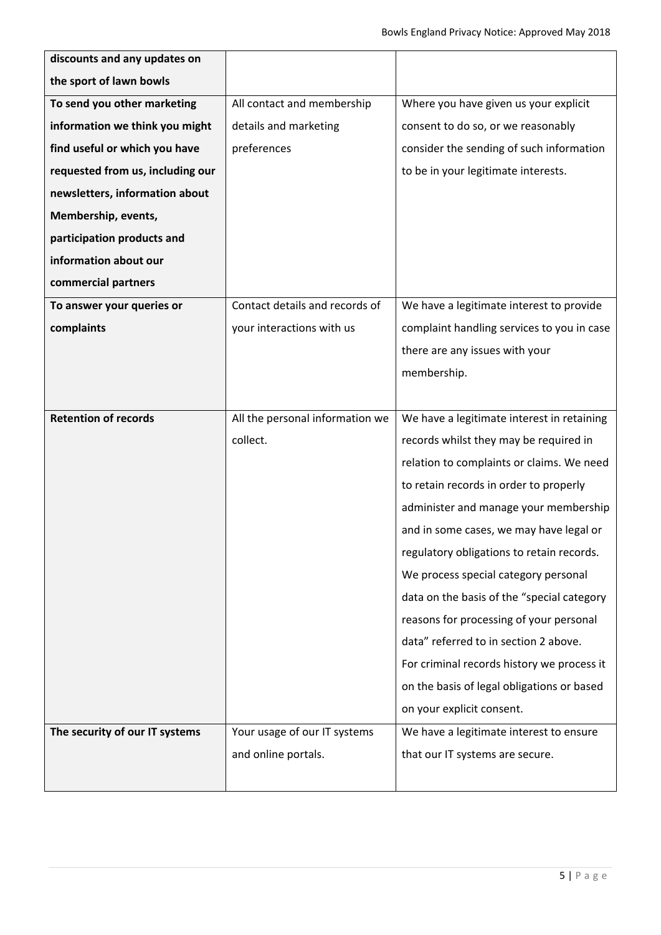| discounts and any updates on     |                                 |                                            |
|----------------------------------|---------------------------------|--------------------------------------------|
| the sport of lawn bowls          |                                 |                                            |
| To send you other marketing      | All contact and membership      | Where you have given us your explicit      |
| information we think you might   | details and marketing           | consent to do so, or we reasonably         |
| find useful or which you have    | preferences                     | consider the sending of such information   |
| requested from us, including our |                                 | to be in your legitimate interests.        |
| newsletters, information about   |                                 |                                            |
| Membership, events,              |                                 |                                            |
| participation products and       |                                 |                                            |
| information about our            |                                 |                                            |
| commercial partners              |                                 |                                            |
| To answer your queries or        | Contact details and records of  | We have a legitimate interest to provide   |
| complaints                       | your interactions with us       | complaint handling services to you in case |
|                                  |                                 | there are any issues with your             |
|                                  |                                 | membership.                                |
|                                  |                                 |                                            |
| <b>Retention of records</b>      | All the personal information we | We have a legitimate interest in retaining |
|                                  | collect.                        | records whilst they may be required in     |
|                                  |                                 | relation to complaints or claims. We need  |
|                                  |                                 | to retain records in order to properly     |
|                                  |                                 | administer and manage your membership      |
|                                  |                                 | and in some cases, we may have legal or    |
|                                  |                                 | regulatory obligations to retain records.  |
|                                  |                                 | We process special category personal       |
|                                  |                                 | data on the basis of the "special category |
|                                  |                                 | reasons for processing of your personal    |
|                                  |                                 | data" referred to in section 2 above.      |
|                                  |                                 | For criminal records history we process it |
|                                  |                                 | on the basis of legal obligations or based |
|                                  |                                 | on your explicit consent.                  |
| The security of our IT systems   | Your usage of our IT systems    | We have a legitimate interest to ensure    |
|                                  | and online portals.             | that our IT systems are secure.            |
|                                  |                                 |                                            |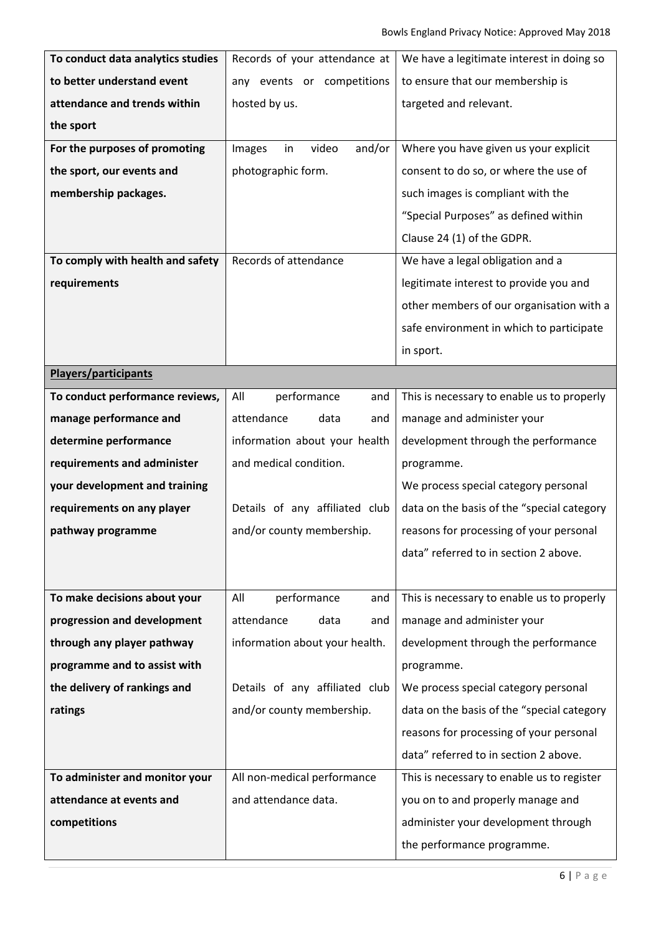| To conduct data analytics studies | Records of your attendance at   | We have a legitimate interest in doing so  |
|-----------------------------------|---------------------------------|--------------------------------------------|
| to better understand event        | any events or competitions      | to ensure that our membership is           |
| attendance and trends within      | hosted by us.                   | targeted and relevant.                     |
| the sport                         |                                 |                                            |
| For the purposes of promoting     | video<br>and/or<br>Images<br>in | Where you have given us your explicit      |
| the sport, our events and         | photographic form.              | consent to do so, or where the use of      |
| membership packages.              |                                 | such images is compliant with the          |
|                                   |                                 | "Special Purposes" as defined within       |
|                                   |                                 | Clause 24 (1) of the GDPR.                 |
| To comply with health and safety  | Records of attendance           | We have a legal obligation and a           |
| requirements                      |                                 | legitimate interest to provide you and     |
|                                   |                                 | other members of our organisation with a   |
|                                   |                                 | safe environment in which to participate   |
|                                   |                                 | in sport.                                  |
| <b>Players/participants</b>       |                                 |                                            |
| To conduct performance reviews,   | performance<br>All<br>and       | This is necessary to enable us to properly |
| manage performance and            | attendance<br>data<br>and       | manage and administer your                 |
| determine performance             | information about your health   | development through the performance        |
| requirements and administer       | and medical condition.          | programme.                                 |
| your development and training     |                                 | We process special category personal       |
| requirements on any player        | Details of any affiliated club  | data on the basis of the "special category |
| pathway programme                 | and/or county membership.       | reasons for processing of your personal    |
|                                   |                                 | data" referred to in section 2 above.      |
|                                   |                                 |                                            |
| To make decisions about your      | performance<br>All<br>and       | This is necessary to enable us to properly |
| progression and development       | attendance<br>data<br>and       | manage and administer your                 |
| through any player pathway        | information about your health.  | development through the performance        |
| programme and to assist with      |                                 | programme.                                 |
| the delivery of rankings and      | Details of any affiliated club  | We process special category personal       |
| ratings                           | and/or county membership.       | data on the basis of the "special category |
|                                   |                                 | reasons for processing of your personal    |
|                                   |                                 | data" referred to in section 2 above.      |
| To administer and monitor your    | All non-medical performance     | This is necessary to enable us to register |
| attendance at events and          | and attendance data.            | you on to and properly manage and          |
| competitions                      |                                 | administer your development through        |
|                                   |                                 |                                            |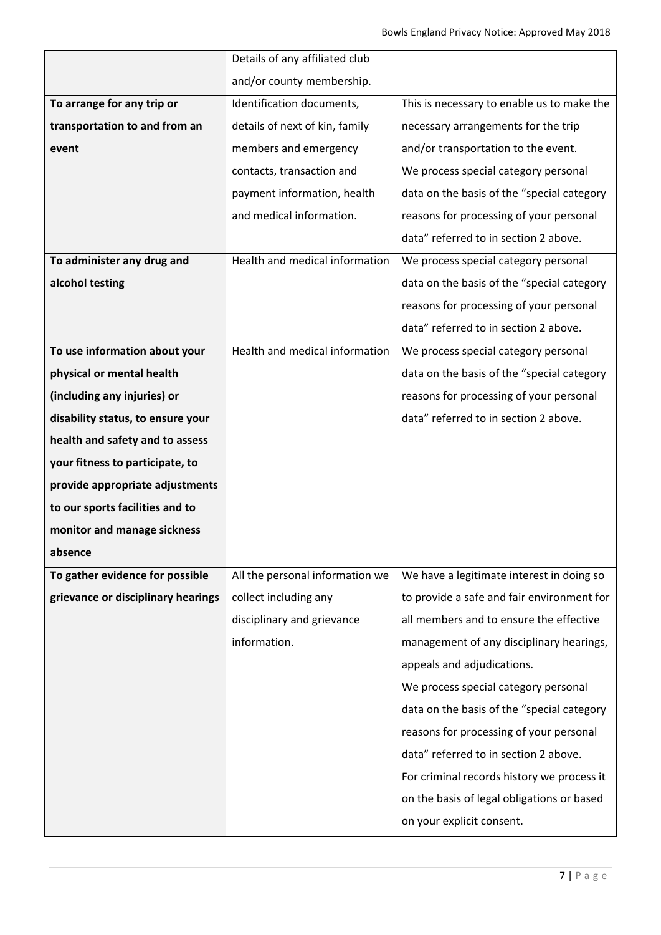| This is necessary to enable us to make the |
|--------------------------------------------|
| necessary arrangements for the trip        |
| and/or transportation to the event.        |
| We process special category personal       |
| data on the basis of the "special category |
| reasons for processing of your personal    |
| data" referred to in section 2 above.      |
| We process special category personal       |
| data on the basis of the "special category |
| reasons for processing of your personal    |
| data" referred to in section 2 above.      |
|                                            |
| We process special category personal       |
| data on the basis of the "special category |
| reasons for processing of your personal    |
| data" referred to in section 2 above.      |
|                                            |
|                                            |
|                                            |
|                                            |
|                                            |
|                                            |
| We have a legitimate interest in doing so  |
| to provide a safe and fair environment for |
| all members and to ensure the effective    |
| management of any disciplinary hearings,   |
|                                            |
| We process special category personal       |
| data on the basis of the "special category |
| reasons for processing of your personal    |
| data" referred to in section 2 above.      |
| For criminal records history we process it |
| on the basis of legal obligations or based |
|                                            |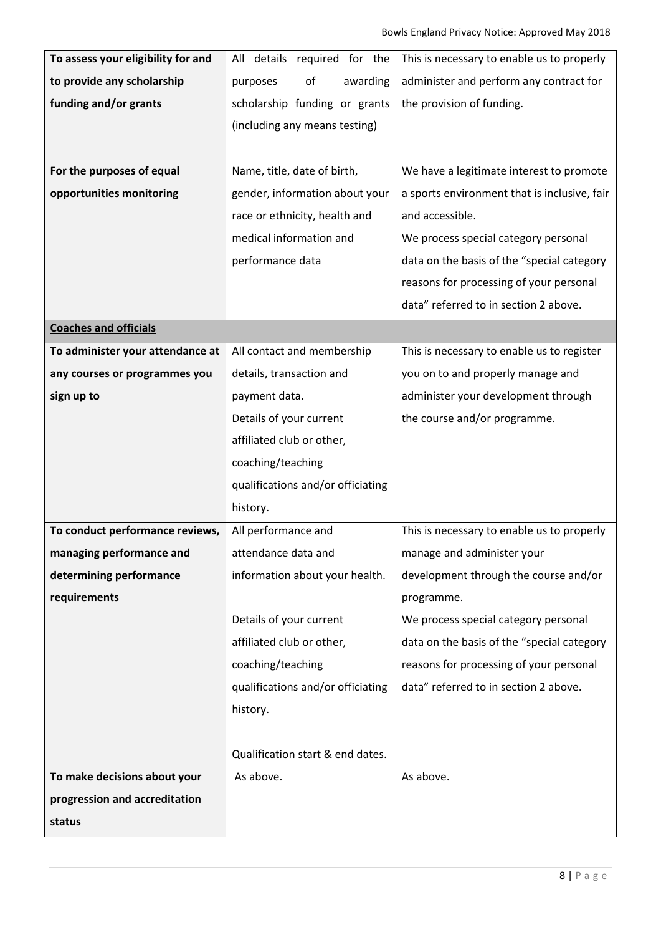| To assess your eligibility for and | All details required for the      | This is necessary to enable us to properly   |
|------------------------------------|-----------------------------------|----------------------------------------------|
| to provide any scholarship         | of<br>awarding<br>purposes        | administer and perform any contract for      |
| funding and/or grants              | scholarship funding or grants     | the provision of funding.                    |
|                                    | (including any means testing)     |                                              |
|                                    |                                   |                                              |
| For the purposes of equal          | Name, title, date of birth,       | We have a legitimate interest to promote     |
| opportunities monitoring           | gender, information about your    | a sports environment that is inclusive, fair |
|                                    | race or ethnicity, health and     | and accessible.                              |
|                                    | medical information and           | We process special category personal         |
|                                    | performance data                  | data on the basis of the "special category   |
|                                    |                                   | reasons for processing of your personal      |
|                                    |                                   | data" referred to in section 2 above.        |
| <b>Coaches and officials</b>       |                                   |                                              |
| To administer your attendance at   | All contact and membership        | This is necessary to enable us to register   |
| any courses or programmes you      | details, transaction and          | you on to and properly manage and            |
| sign up to                         | payment data.                     | administer your development through          |
|                                    | Details of your current           | the course and/or programme.                 |
|                                    | affiliated club or other,         |                                              |
|                                    | coaching/teaching                 |                                              |
|                                    | qualifications and/or officiating |                                              |
|                                    | history.                          |                                              |
| To conduct performance reviews,    | All performance and               | This is necessary to enable us to properly   |
| managing performance and           | attendance data and               | manage and administer your                   |
| determining performance            | information about your health.    | development through the course and/or        |
| requirements                       |                                   | programme.                                   |
|                                    | Details of your current           | We process special category personal         |
|                                    | affiliated club or other,         | data on the basis of the "special category   |
|                                    | coaching/teaching                 | reasons for processing of your personal      |
|                                    | qualifications and/or officiating | data" referred to in section 2 above.        |
|                                    | history.                          |                                              |
|                                    |                                   |                                              |
|                                    | Qualification start & end dates.  |                                              |
| To make decisions about your       | As above.                         | As above.                                    |
| progression and accreditation      |                                   |                                              |
| status                             |                                   |                                              |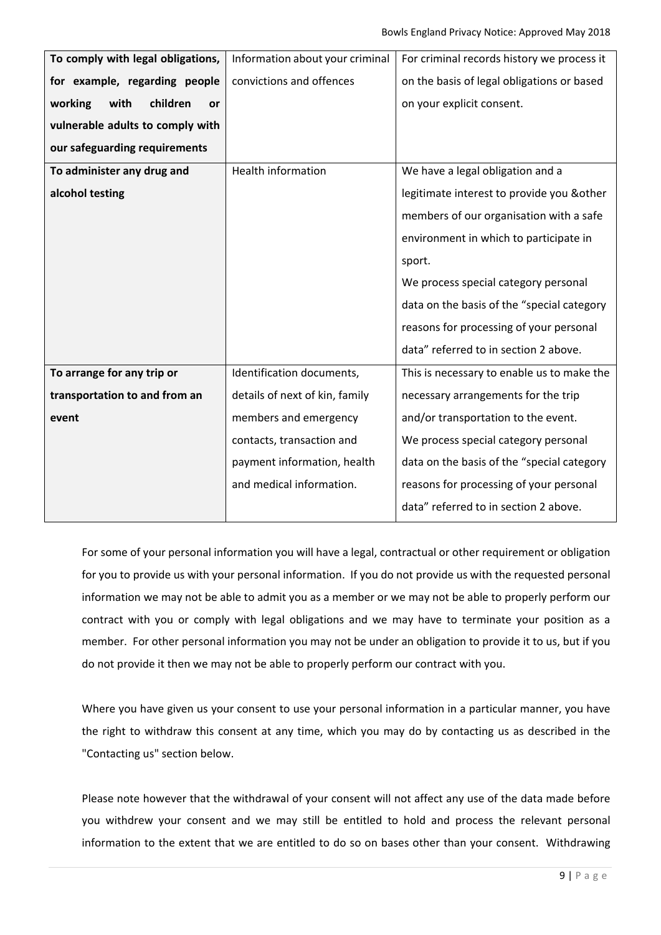| To comply with legal obligations, | Information about your criminal | For criminal records history we process it |
|-----------------------------------|---------------------------------|--------------------------------------------|
| for example, regarding people     | convictions and offences        | on the basis of legal obligations or based |
| with<br>children<br>working<br>or |                                 | on your explicit consent.                  |
| vulnerable adults to comply with  |                                 |                                            |
| our safeguarding requirements     |                                 |                                            |
| To administer any drug and        | <b>Health information</b>       | We have a legal obligation and a           |
| alcohol testing                   |                                 | legitimate interest to provide you & other |
|                                   |                                 | members of our organisation with a safe    |
|                                   |                                 | environment in which to participate in     |
|                                   |                                 | sport.                                     |
|                                   |                                 | We process special category personal       |
|                                   |                                 | data on the basis of the "special category |
|                                   |                                 | reasons for processing of your personal    |
|                                   |                                 | data" referred to in section 2 above.      |
| To arrange for any trip or        | Identification documents,       | This is necessary to enable us to make the |
| transportation to and from an     | details of next of kin, family  | necessary arrangements for the trip        |
| event                             | members and emergency           | and/or transportation to the event.        |
|                                   | contacts, transaction and       | We process special category personal       |
|                                   | payment information, health     | data on the basis of the "special category |
|                                   | and medical information.        | reasons for processing of your personal    |
|                                   |                                 | data" referred to in section 2 above.      |
|                                   |                                 |                                            |

For some of your personal information you will have a legal, contractual or other requirement or obligation for you to provide us with your personal information. If you do not provide us with the requested personal information we may not be able to admit you as a member or we may not be able to properly perform our contract with you or comply with legal obligations and we may have to terminate your position as a member. For other personal information you may not be under an obligation to provide it to us, but if you do not provide it then we may not be able to properly perform our contract with you.

Where you have given us your consent to use your personal information in a particular manner, you have the right to withdraw this consent at any time, which you may do by contacting us as described in the "Contacting us" section below.

Please note however that the withdrawal of your consent will not affect any use of the data made before you withdrew your consent and we may still be entitled to hold and process the relevant personal information to the extent that we are entitled to do so on bases other than your consent. Withdrawing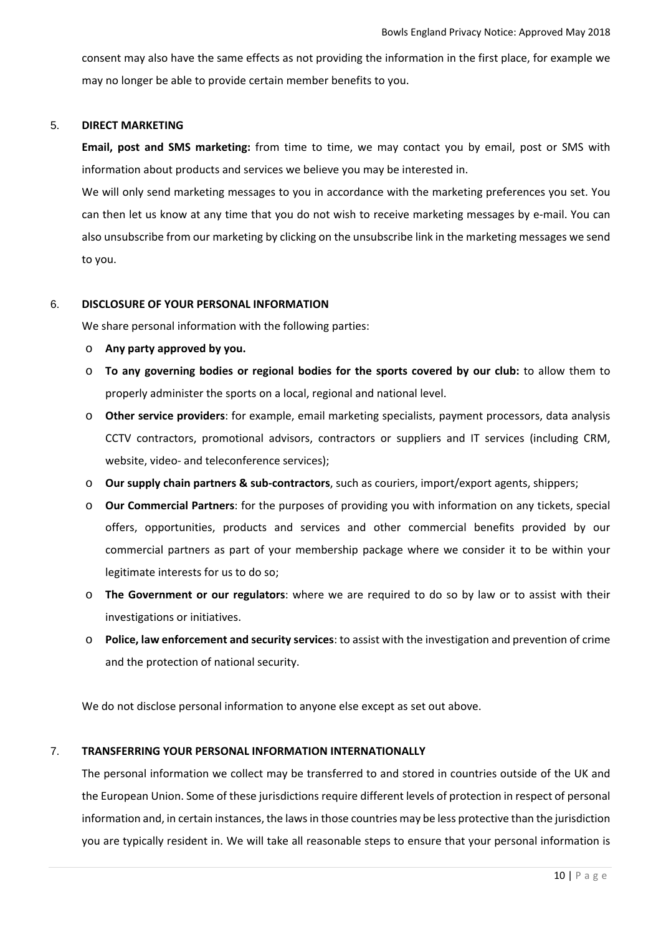consent may also have the same effects as not providing the information in the first place, for example we may no longer be able to provide certain member benefits to you.

#### 5. **DIRECT MARKETING**

**Email, post and SMS marketing:** from time to time, we may contact you by email, post or SMS with information about products and services we believe you may be interested in.

We will only send marketing messages to you in accordance with the marketing preferences you set. You can then let us know at any time that you do not wish to receive marketing messages by e-mail. You can also unsubscribe from our marketing by clicking on the unsubscribe link in the marketing messages we send to you.

# 6. **DISCLOSURE OF YOUR PERSONAL INFORMATION**

We share personal information with the following parties:

- o **Any party approved by you.**
- o **To any governing bodies or regional bodies for the sports covered by our club:** to allow them to properly administer the sports on a local, regional and national level.
- o **Other service providers**: for example, email marketing specialists, payment processors, data analysis CCTV contractors, promotional advisors, contractors or suppliers and IT services (including CRM, website, video‐ and teleconference services);
- o **Our supply chain partners & sub‐contractors**, such as couriers, import/export agents, shippers;
- o **Our Commercial Partners**: for the purposes of providing you with information on any tickets, special offers, opportunities, products and services and other commercial benefits provided by our commercial partners as part of your membership package where we consider it to be within your legitimate interests for us to do so;
- o **The Government or our regulators**: where we are required to do so by law or to assist with their investigations or initiatives.
- o **Police, law enforcement and security services**: to assist with the investigation and prevention of crime and the protection of national security.

We do not disclose personal information to anyone else except as set out above.

#### 7. **TRANSFERRING YOUR PERSONAL INFORMATION INTERNATIONALLY**

The personal information we collect may be transferred to and stored in countries outside of the UK and the European Union. Some of these jurisdictions require different levels of protection in respect of personal information and, in certain instances, the lawsin those countries may be less protective than the jurisdiction you are typically resident in. We will take all reasonable steps to ensure that your personal information is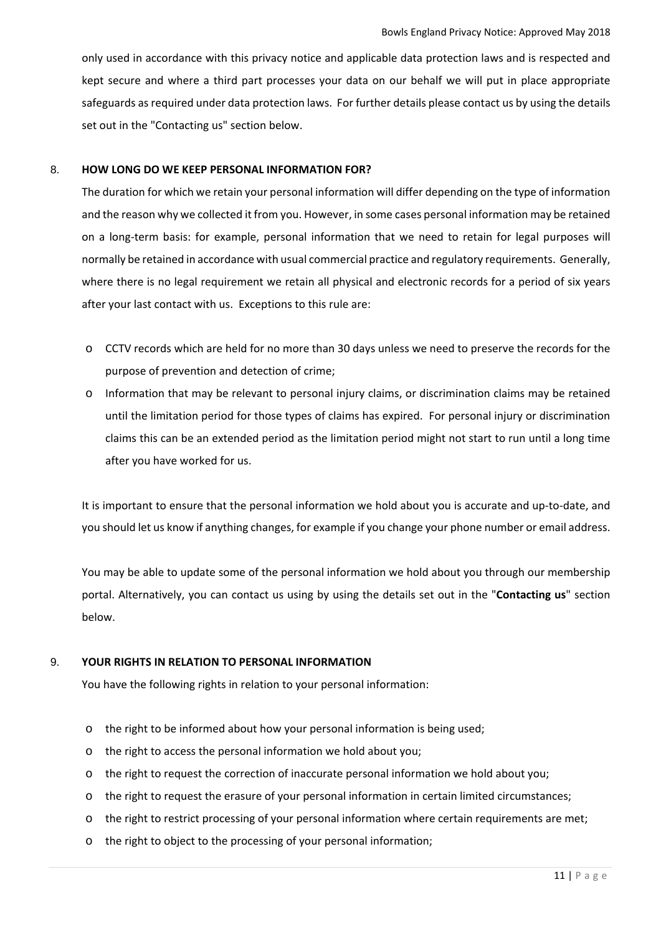only used in accordance with this privacy notice and applicable data protection laws and is respected and kept secure and where a third part processes your data on our behalf we will put in place appropriate safeguards as required under data protection laws. For further details please contact us by using the details set out in the "Contacting us" section below.

## 8. **HOW LONG DO WE KEEP PERSONAL INFORMATION FOR?**

The duration for which we retain your personal information will differ depending on the type of information and the reason why we collected it from you. However, in some cases personal information may be retained on a long‐term basis: for example, personal information that we need to retain for legal purposes will normally be retained in accordance with usual commercial practice and regulatory requirements. Generally, where there is no legal requirement we retain all physical and electronic records for a period of six years after your last contact with us. Exceptions to this rule are:

- o CCTV records which are held for no more than 30 days unless we need to preserve the records for the purpose of prevention and detection of crime;
- o Information that may be relevant to personal injury claims, or discrimination claims may be retained until the limitation period for those types of claims has expired. For personal injury or discrimination claims this can be an extended period as the limitation period might not start to run until a long time after you have worked for us.

It is important to ensure that the personal information we hold about you is accurate and up‐to‐date, and you should let us know if anything changes, for example if you change your phone number or email address.

You may be able to update some of the personal information we hold about you through our membership portal. Alternatively, you can contact us using by using the details set out in the "**Contacting us**" section below.

# 9. **YOUR RIGHTS IN RELATION TO PERSONAL INFORMATION**

You have the following rights in relation to your personal information:

- o the right to be informed about how your personal information is being used;
- o the right to access the personal information we hold about you;
- o the right to request the correction of inaccurate personal information we hold about you;
- o the right to request the erasure of your personal information in certain limited circumstances;
- o the right to restrict processing of your personal information where certain requirements are met;
- o the right to object to the processing of your personal information;